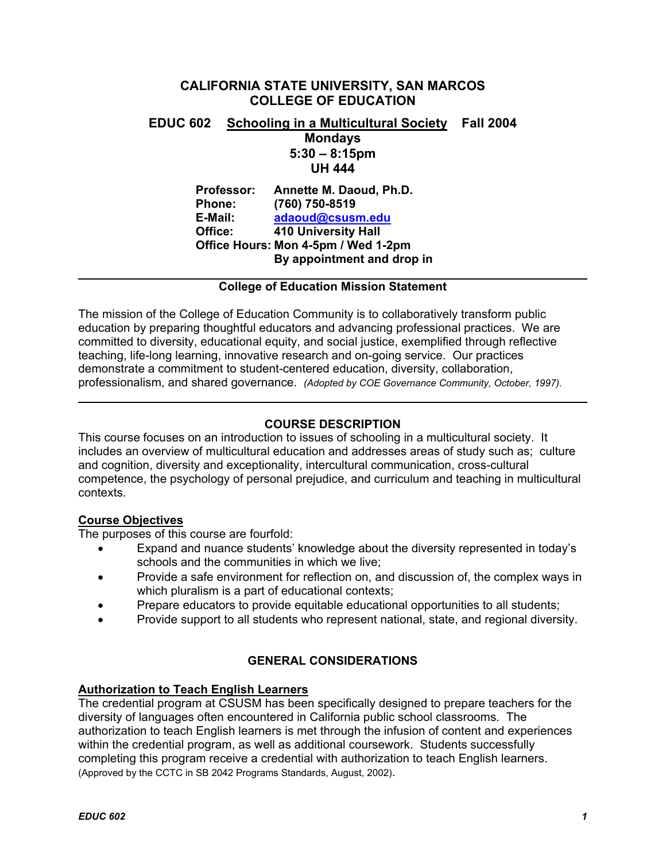# **CALIFORNIA STATE UNIVERSITY, SAN MARCOS COLLEGE OF EDUCATION**

# **EDUC 602 Schooling in a Multicultural Society Fall 2004 Mondays 5:30 – 8:15pm UH 444**

**Professor: Annette M. Daoud, Ph.D. Phone: (760) 750-8519 E-Mail: adaoud@csusm.edu Office: 410 University Hall Office Hours: Mon 4-5pm / Wed 1-2pm By appointment and drop in** 

## **College of Education Mission Statement**

The mission of the College of Education Community is to collaboratively transform public education by preparing thoughtful educators and advancing professional practices. We are committed to diversity, educational equity, and social justice, exemplified through reflective teaching, life-long learning, innovative research and on-going service. Our practices demonstrate a commitment to student-centered education, diversity, collaboration, professionalism, and shared governance. *(Adopted by COE Governance Community, October, 1997).* 

# **COURSE DESCRIPTION**

This course focuses on an introduction to issues of schooling in a multicultural society. It includes an overview of multicultural education and addresses areas of study such as; culture and cognition, diversity and exceptionality, intercultural communication, cross-cultural competence, the psychology of personal prejudice, and curriculum and teaching in multicultural contexts.

# **Course Objectives**

The purposes of this course are fourfold:

- Expand and nuance students' knowledge about the diversity represented in today's schools and the communities in which we live;
- Provide a safe environment for reflection on, and discussion of, the complex ways in which pluralism is a part of educational contexts;
- Prepare educators to provide equitable educational opportunities to all students;
- Provide support to all students who represent national, state, and regional diversity.

# **GENERAL CONSIDERATIONS**

#### **Authorization to Teach English Learners**

The credential program at CSUSM has been specifically designed to prepare teachers for the diversity of languages often encountered in California public school classrooms. The authorization to teach English learners is met through the infusion of content and experiences within the credential program, as well as additional coursework. Students successfully completing this program receive a credential with authorization to teach English learners. (Approved by the CCTC in SB 2042 Programs Standards, August, 2002).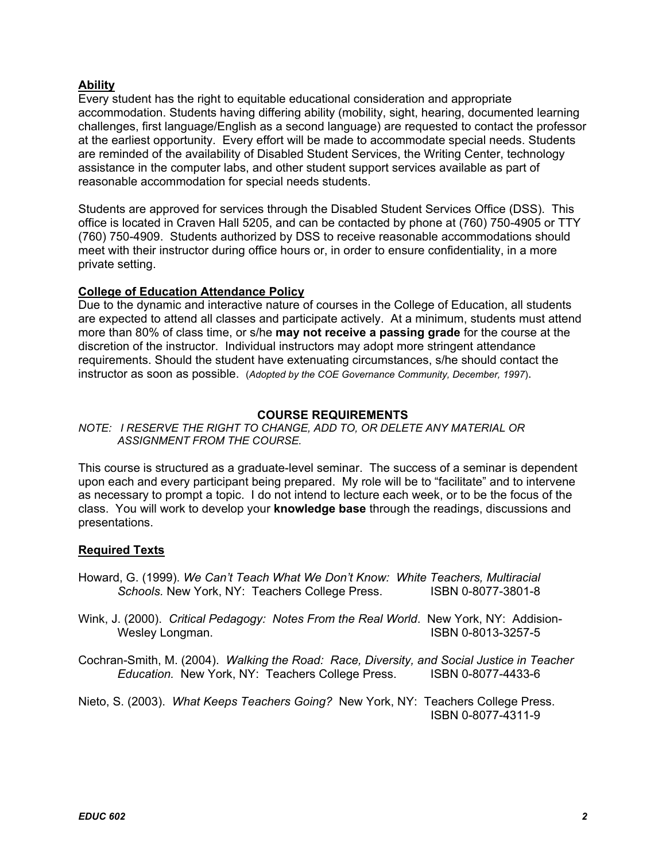# **Ability**

Every student has the right to equitable educational consideration and appropriate accommodation. Students having differing ability (mobility, sight, hearing, documented learning challenges, first language/English as a second language) are requested to contact the professor at the earliest opportunity. Every effort will be made to accommodate special needs. Students are reminded of the availability of Disabled Student Services, the Writing Center, technology assistance in the computer labs, and other student support services available as part of reasonable accommodation for special needs students.

Students are approved for services through the Disabled Student Services Office (DSS). This office is located in Craven Hall 5205, and can be contacted by phone at (760) 750-4905 or TTY (760) 750-4909. Students authorized by DSS to receive reasonable accommodations should meet with their instructor during office hours or, in order to ensure confidentiality, in a more private setting.

# **College of Education Attendance Policy**

Due to the dynamic and interactive nature of courses in the College of Education, all students are expected to attend all classes and participate actively. At a minimum, students must attend more than 80% of class time, or s/he **may not receive a passing grade** for the course at the discretion of the instructor. Individual instructors may adopt more stringent attendance requirements. Should the student have extenuating circumstances, s/he should contact the instructor as soon as possible. (*Adopted by the COE Governance Community, December, 1997*).

#### **COURSE REQUIREMENTS**

*NOTE: I RESERVE THE RIGHT TO CHANGE, ADD TO, OR DELETE ANY MATERIAL OR ASSIGNMENT FROM THE COURSE.*

This course is structured as a graduate-level seminar. The success of a seminar is dependent upon each and every participant being prepared. My role will be to "facilitate" and to intervene as necessary to prompt a topic. I do not intend to lecture each week, or to be the focus of the class. You will work to develop your **knowledge base** through the readings, discussions and presentations.

# **Required Texts**

Howard, G. (1999). *We Can't Teach What We Don't Know: White Teachers, Multiracial*  Schools. New York, NY: Teachers College Press. **ISBN 0-8077-3801-8** 

Wink, J. (2000). *Critical Pedagogy: Notes From the Real World*. New York, NY: Addision-Wesley Longman. The Contract of the USBN 0-8013-3257-5

Cochran-Smith, M. (2004). *Walking the Road: Race, Diversity, and Social Justice in Teacher Education.* New York, NY: Teachers College Press. ISBN 0-8077-4433-6

Nieto, S. (2003). *What Keeps Teachers Going?* New York, NY: Teachers College Press. ISBN 0-8077-4311-9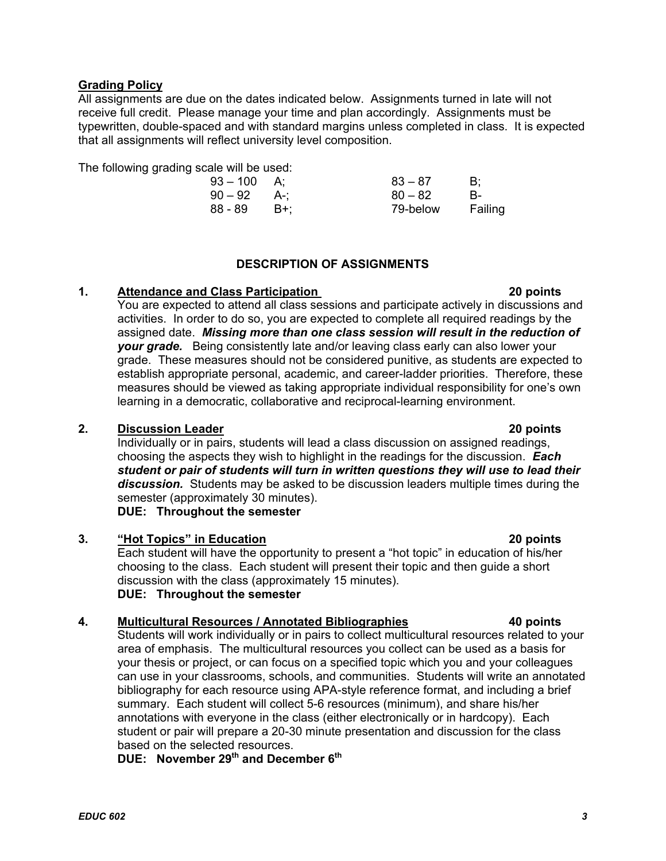# **Grading Policy**

All assignments are due on the dates indicated below. Assignments turned in late will not receive full credit. Please manage your time and plan accordingly. Assignments must be typewritten, double-spaced and with standard margins unless completed in class. It is expected that all assignments will reflect university level composition.

The following grading scale will be used:

| 93 – 100 | A:    | $83 - 87$ | B:      |
|----------|-------|-----------|---------|
| 90 – 92  | – A∹: | $80 - 82$ | в-      |
| 88 - 89  | - B+: | 79-below  | Failing |

# **DESCRIPTION OF ASSIGNMENTS**

# **1. Attendance and Class Participation 20 points**

You are expected to attend all class sessions and participate actively in discussions and activities. In order to do so, you are expected to complete all required readings by the assigned date. *Missing more than one class session will result in the reduction of your grade.* Being consistently late and/or leaving class early can also lower your grade. These measures should not be considered punitive, as students are expected to establish appropriate personal, academic, and career-ladder priorities. Therefore, these measures should be viewed as taking appropriate individual responsibility for one's own learning in a democratic, collaborative and reciprocal-learning environment.

# **2. Discussion Leader 20 points**

Individually or in pairs, students will lead a class discussion on assigned readings, choosing the aspects they wish to highlight in the readings for the discussion. *Each student or pair of students will turn in written questions they will use to lead their discussion.* Students may be asked to be discussion leaders multiple times during the semester (approximately 30 minutes).

**DUE: Throughout the semester** 

# **3. "Hot Topics" in Education 20 points**

Each student will have the opportunity to present a "hot topic" in education of his/her choosing to the class. Each student will present their topic and then guide a short discussion with the class (approximately 15 minutes). **DUE: Throughout the semester** 

# **4. Multicultural Resources / Annotated Bibliographies 40 points**

Students will work individually or in pairs to collect multicultural resources related to your area of emphasis. The multicultural resources you collect can be used as a basis for your thesis or project, or can focus on a specified topic which you and your colleagues can use in your classrooms, schools, and communities. Students will write an annotated bibliography for each resource using APA-style reference format, and including a brief summary. Each student will collect 5-6 resources (minimum), and share his/her annotations with everyone in the class (either electronically or in hardcopy). Each student or pair will prepare a 20-30 minute presentation and discussion for the class based on the selected resources.

**DUE:** November 29<sup>th</sup> and December 6<sup>th</sup>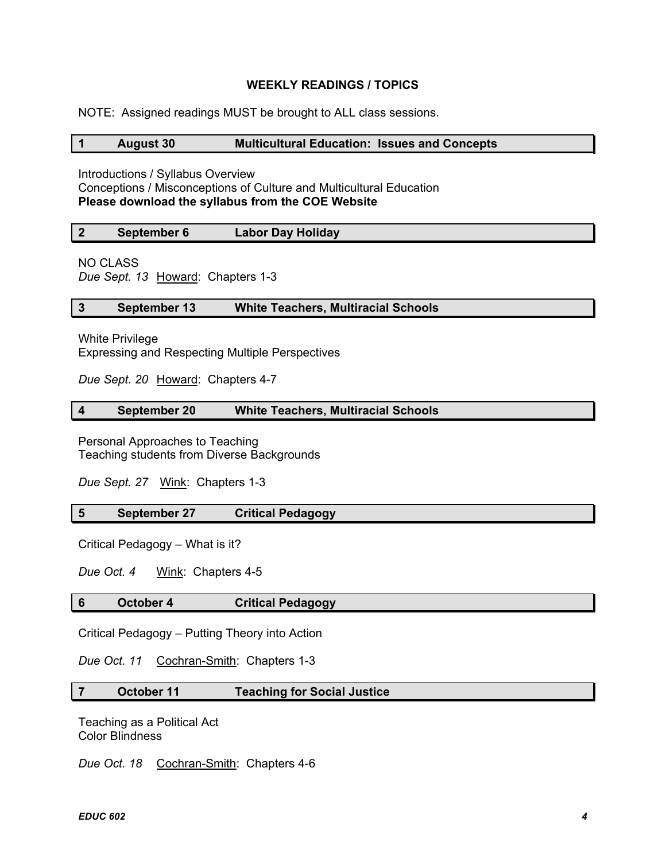## **WEEKLY READINGS / TOPICS**

NOTE: Assigned readings MUST be brought to ALL class sessions.

#### **1 August 30 Multicultural Education: Issues and Concepts**

Introductions / Syllabus Overview Conceptions / Misconceptions of Culture and Multicultural Education **Please download the syllabus from the COE Website** 

| September 6 | Labor Day Holiday |
|-------------|-------------------|
|             |                   |

NO CLASS

*Due Sept. 13* Howard: Chapters 1-3

#### **3 September 13 White Teachers, Multiracial Schools**

White Privilege Expressing and Respecting Multiple Perspectives

*Due Sept. 20* Howard: Chapters 4-7

#### **4 September 20 White Teachers, Multiracial Schools**

Personal Approaches to Teaching Teaching students from Diverse Backgrounds

*Due Sept. 27* Wink: Chapters 1-3

#### **5 September 27 Critical Pedagogy**

Critical Pedagogy – What is it?

*Due Oct. 4* Wink: Chapters 4-5

#### **6 October 4 Critical Pedagogy**

Critical Pedagogy – Putting Theory into Action

*Due Oct. 11* Cochran-Smith: Chapters 1-3

# **7 October 11 Teaching for Social Justice**

Teaching as a Political Act Color Blindness

*Due Oct. 18* Cochran-Smith: Chapters 4-6